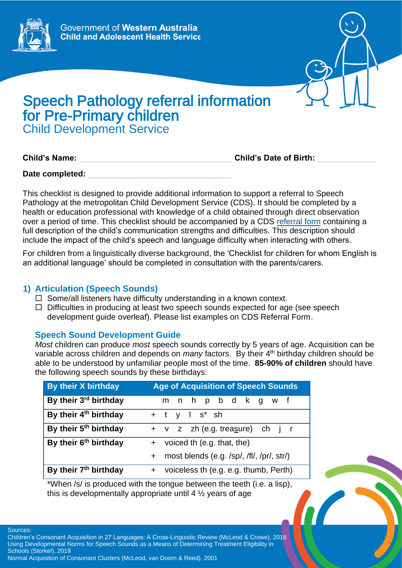



# Speech Pathology referral information for Pre-Primary children Child Development Service

**Child's Name:** \_\_\_\_\_\_\_\_\_\_\_\_\_\_\_\_\_\_\_\_\_\_\_\_\_\_\_\_\_\_\_\_\_\_ **Child's Date of Birth:** \_\_\_\_\_\_\_\_\_\_\_\_\_

Date completed:

This checklist is designed to provide additional information to support a referral to Speech Pathology at the metropolitan Child Development Service (CDS). It should be completed by a health or education professional with knowledge of a child obtained through direct observation over a period of time. This checklist should be accompanied by a CDS [referral form](https://cahs.health.wa.gov.au/our-services/community-health/child-development-service/eligibility-and-referrals) containing a full description of the child's communication strengths and difficulties. This description should include the impact of the child's speech and language difficulty when interacting with others.

For children from a linguistically diverse background, the 'Checklist for children for whom English is an additional language' should be completed in consultation with the parents/carers.

## **1) Articulation (Speech Sounds)**

- $\Box$  Some/all listeners have difficulty understanding in a known context.
- $\Box$  Difficulties in producing at least two speech sounds expected for age (see speech development guide overleaf). Please list examples on CDS Referral Form.

## **Speech Sound Development Guide**

*Most* children can produce *most* speech sounds correctly by 5 years of age. Acquisition can be variable across children and depends on *many* factors. By their 4<sup>th</sup> birthday children should be able to be understood by unfamiliar people most of the time. **85-90% of children** should have the following speech sounds by these birthdays:

| <b>By their X birthday</b>        | <b>Age of Acquisition of Speech Sounds</b>       |
|-----------------------------------|--------------------------------------------------|
| By their 3rd birthday             | m n h p b d k g w f                              |
| By their 4 <sup>th</sup> birthday | $+$ t y l s <sup>*</sup> sh                      |
| By their 5 <sup>th</sup> birthday | + v z zh (e.g. treasure) ch j r                  |
| By their 6 <sup>th</sup> birthday | + voiced th (e.g. that, the)                     |
|                                   | most blends (e.g. /sp/, /fl/, /pr/, str/)<br>$+$ |
| By their 7 <sup>th</sup> birthday | + voiceless th (e.g. e.g. thumb, Perth)          |

\*When /s/ is produced with the tongue between the teeth (i.e. a lisp), this is developmentally appropriate until 4 ½ years of age

Sources:

Children's Consonant Acquisition in 27 Languages: A Cross-Linguistic Review (McLeod & Crowe), 2018 Using Developmental Norms for Speech Sounds as a Means of Determining Treatment Eligibility in Schools (Storkel), 2019

Normal Acquisition of Consonant Clusters (McLeod, van Doorn & Reed), 2001